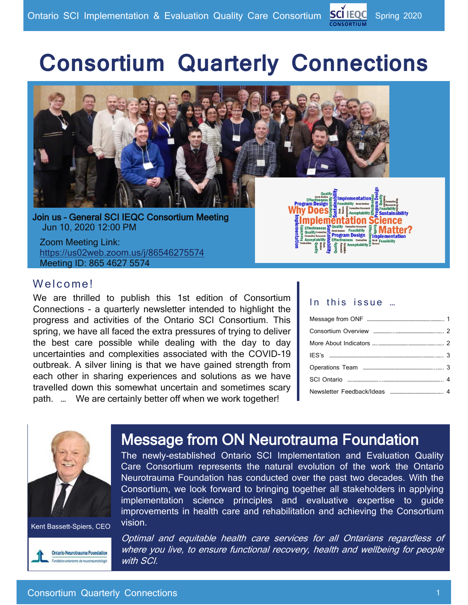# **Consortium Quarterly Connections**



 Join us – General SCI IEQC Consortium Meeting Jun 10, 2020 12:00 PM

 Zoom Meeting Link: https://us02web.zoom.us/j/86546275574 Meeting ID: 865 4627 5574



#### Welcome!

We are thrilled to publish this 1st edition of Consortium Connections - a quarterly newsletter intended to highlight the progress and activities of the Ontario SCI Consortium. This spring, we have all faced the extra pressures of trying to deliver the best care possible while dealing with the day to day uncertainties and complexities associated with the COVID-19 outbreak. A silver lining is that we have gained strength from each other in sharing experiences and solutions as we have travelled down this somewhat uncertain and sometimes scary path. … We are certainly better off when we work together!

#### In this issue ...



Kent Bassett-Spiers, CEO



# Message from ON Neurotrauma Foundation

The newly-established Ontario SCI Implementation and Evaluation Quality Care Consortium represents the natural evolution of the work the Ontario Neurotrauma Foundation has conducted over the past two decades. With the Consortium, we look forward to bringing together all stakeholders in applying implementation science principles and evaluative expertise to guide improvements in health care and rehabilitation and achieving the Consortium vision.

Optimal and equitable health care services for all Ontarians regardless of where you live, to ensure functional recovery, health and wellbeing for people with SCI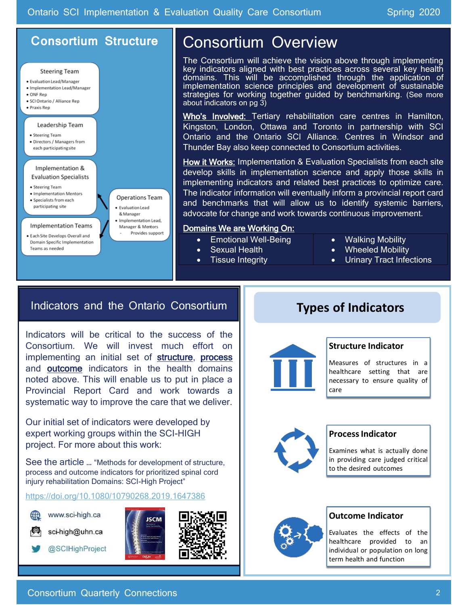### **Consortium Structure**



# Consortium Overview

The Consortium will achieve the vision above through implementing key indicators aligned with best practices across several key health domains. This will be accomplished through the application of implementation science principles and development of sustainable strategies for working together guided by benchmarking. (See more about indicators on pg 3)

Who's Involved: Tertiary rehabilitation care centres in Hamilton, Kingston, London, Ottawa and Toronto in partnership with SCI Ontario and the Ontario SCI Alliance. Centres in Windsor and Thunder Bay also keep connected to Consortium activities.

How it Works: Implementation & Evaluation Specialists from each site develop skills in implementation science and apply those skills in implementing indicators and related best practices to optimize care. The indicator information will eventually inform a provincial report card and benchmarks that will allow us to identify systemic barriers, advocate for change and work towards continuous improvement.

#### Domains We are Working On:

- Emotional Well-Being
	- Sexual Health
- **Tissue Integrity**
- Walking Mobility
- Wheeled Mobility
- Urinary Tract Infections

### Indicators and the Ontario Consortium

Indicators will be critical to the success of the Consortium. We will invest much effort on implementing an initial set of structure, process and outcome indicators in the health domains noted above. This will enable us to put in place a Provincial Report Card and work towards a systematic way to improve the care that we deliver.

Our initial set of indicators were developed by expert working groups within the SCI-HIGH project. For more about this work:

See the article … "Methods for development of structure, process and outcome indicators for prioritized spinal cord injury rehabilitation Domains: SCI-High Project"

https://doi.org/10.1080/10790268.2019.1647386



www.sci-high.ca

sci-high@uhn.ca

@SCIHighProject





## **Types of Indicators**



#### **Structure Indicator**

Measures of structures in a healthcare setting that are necessary to ensure quality of care



#### **Process Indicator**

Examines what is actually done in providing care judged critical to the desired outcomes



#### **Outcome Indicator**

Evaluates the effects of the healthcare provided to an Evaluates the effects of the<br>healthcare provided to an<br>individual or population on long<br>term health and function term health and function

#### Consortium Quarterly Connections 2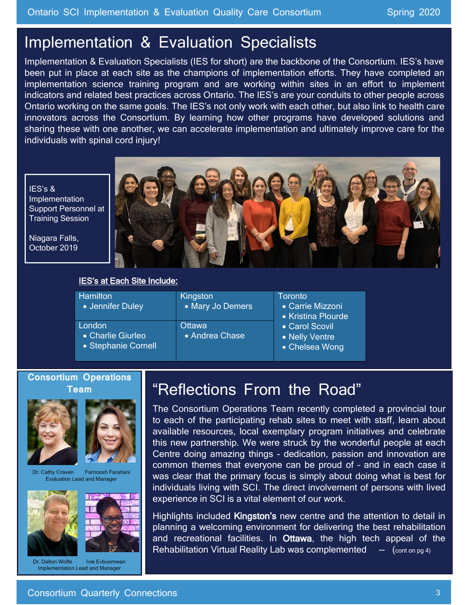# Implementation & Evaluation Specialists

Implementation & Evaluation Specialists (IES for short) are the backbone of the Consortium. IES's have been put in place at each site as the champions of implementation efforts. They have completed an implementation science training program and are working within sites in an effort to implement indicators and related best practices across Ontario. The IES's are your conduits to other people across Ontario working on the same goals. The IES's not only work with each other, but also link to health care innovators across the Consortium. By learning how other programs have developed solutions and sharing these with one another, we can accelerate implementation and ultimately improve care for the individuals with spinal cord injury!

IES's & Implementation Support Personnel at Training Session

Niagara Falls, October 2019



#### **IES's at Each Site Include:**

| <b>Hamilton</b><br>• Jennifer Duley                | Kingston<br>• Mary Jo Demers | Toronto<br>• Carrie Mizzoni<br>• Kristina Plourde<br>• Carol Scovil<br>• Nelly Ventre<br>• Chelsea Wong |
|----------------------------------------------------|------------------------------|---------------------------------------------------------------------------------------------------------|
| London<br>• Charlie Giurleo<br>• Stephanie Cornell | Ottawa<br>• Andrea Chase     |                                                                                                         |

#### **Consortium Operations Team**





Dr. Cathy Craven Farnoosh Farahani Evaluation Lead and Manager





Dr. Dalton Wolfe Ivie Evbuomwan Implementation Lead and Manager

# "Reflections From the Road"

The Consortium Operations Team recently completed a provincial tour to each of the participating rehab sites to meet with staff, learn about available resources, local exemplary program initiatives and celebrate this new partnership. We were struck by the wonderful people at each Centre doing amazing things - dedication, passion and innovation are common themes that everyone can be proud of – and in each case it was clear that the primary focus is simply about doing what is best for individuals living with SCI. The direct involvement of persons with lived experience in SCI is a vital element of our work.

Highlights included Kingston's new centre and the attention to detail in planning a welcoming environment for delivering the best rehabilitation and recreational facilities. In Ottawa, the high tech appeal of the Rehabilitation Virtual Reality Lab was complemented  $\leftarrow$  (cont on pg 4)